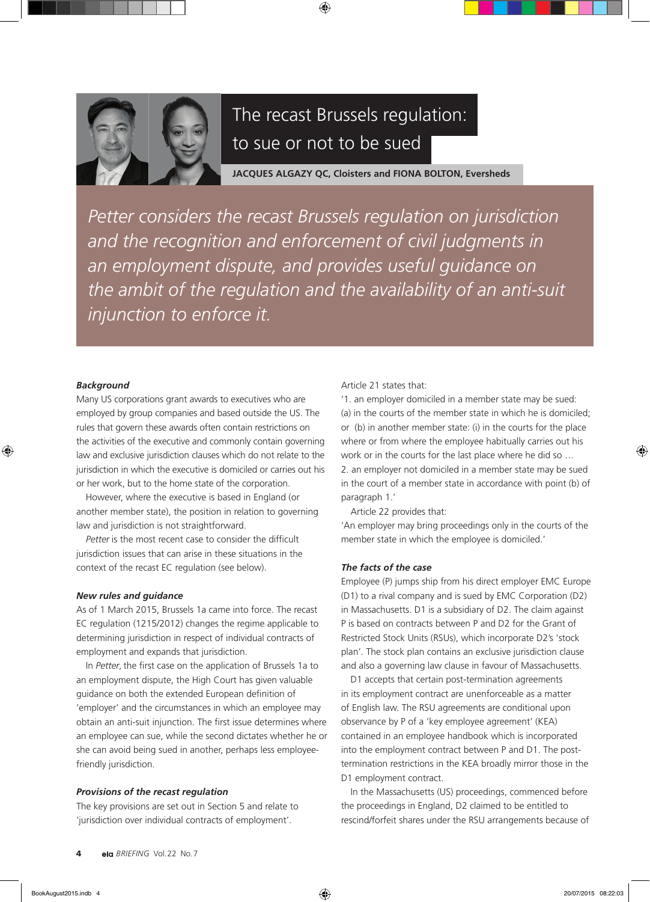

# The recast Brussels regulation: to sue or not to be sued

**JACQUES ALGAZY QC, Cloisters and FIONA BOLTON, Eversheds**

*Petter considers the recast Brussels regulation on jurisdiction and the recognition and enforcement of civil judgments in an employment dispute, and provides useful guidance on the ambit of the regulation and the availability of an anti-suit injunction to enforce it.*

## *Background*

Many US corporations grant awards to executives who are employed by group companies and based outside the US. The rules that govern these awards often contain restrictions on the activities of the executive and commonly contain governing law and exclusive jurisdiction clauses which do not relate to the jurisdiction in which the executive is domiciled or carries out his or her work, but to the home state of the corporation.

However, where the executive is based in England (or another member state), the position in relation to governing law and jurisdiction is not straightforward.

*Petter* is the most recent case to consider the difficult jurisdiction issues that can arise in these situations in the context of the recast EC regulation (see below).

## *New rules and guidance*

As of 1 March 2015, Brussels 1a came into force. The recast EC regulation (1215/2012) changes the regime applicable to determining jurisdiction in respect of individual contracts of employment and expands that jurisdiction.

In *Petter*, the first case on the application of Brussels 1a to an employment dispute, the High Court has given valuable guidance on both the extended European definition of 'employer' and the circumstances in which an employee may obtain an anti-suit injunction. The first issue determines where an employee can sue, while the second dictates whether he or she can avoid being sued in another, perhaps less employeefriendly jurisdiction.

## *Provisions of the recast regulation*

The key provisions are set out in Section 5 and relate to 'jurisdiction over individual contracts of employment'.

### Article 21 states that:

'1. an employer domiciled in a member state may be sued: (a) in the courts of the member state in which he is domiciled; or (b) in another member state: (i) in the courts for the place where or from where the employee habitually carries out his work or in the courts for the last place where he did so … 2. an employer not domiciled in a member state may be sued in the court of a member state in accordance with point (b) of paragraph 1.'

Article 22 provides that:

'An employer may bring proceedings only in the courts of the member state in which the employee is domiciled.'

#### *The facts of the case*

Employee (P) jumps ship from his direct employer EMC Europe (D1) to a rival company and is sued by EMC Corporation (D2) in Massachusetts. D1 is a subsidiary of D2. The claim against P is based on contracts between P and D2 for the Grant of Restricted Stock Units (RSUs), which incorporate D2's 'stock plan'. The stock plan contains an exclusive jurisdiction clause and also a governing law clause in favour of Massachusetts.

D1 accepts that certain post-termination agreements in its employment contract are unenforceable as a matter of English law. The RSU agreements are conditional upon observance by P of a 'key employee agreement' (KEA) contained in an employee handbook which is incorporated into the employment contract between P and D1. The posttermination restrictions in the KEA broadly mirror those in the D1 employment contract.

In the Massachusetts (US) proceedings, commenced before the proceedings in England, D2 claimed to be entitled to rescind/forfeit shares under the RSU arrangements because of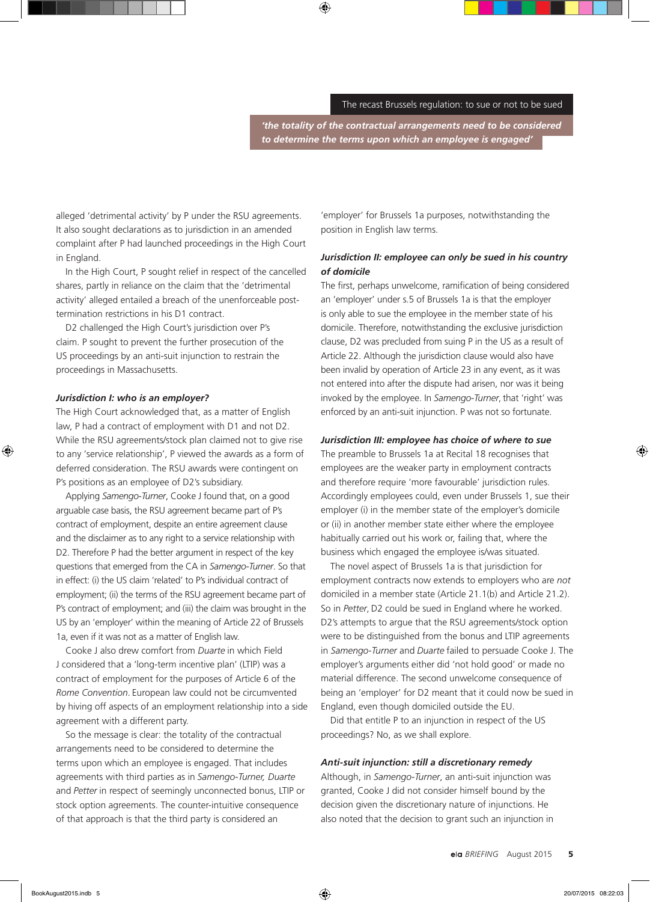*'the totality of the contractual arrangements need to be considered to determine the terms upon which an employee is engaged'*

alleged 'detrimental activity' by P under the RSU agreements. It also sought declarations as to jurisdiction in an amended complaint after P had launched proceedings in the High Court in England.

In the High Court, P sought relief in respect of the cancelled shares, partly in reliance on the claim that the 'detrimental activity' alleged entailed a breach of the unenforceable posttermination restrictions in his D1 contract.

D2 challenged the High Court's jurisdiction over P's claim. P sought to prevent the further prosecution of the US proceedings by an anti-suit injunction to restrain the proceedings in Massachusetts.

#### *Jurisdiction I: who is an employer?*

The High Court acknowledged that, as a matter of English law, P had a contract of employment with D1 and not D2. While the RSU agreements/stock plan claimed not to give rise to any 'service relationship', P viewed the awards as a form of deferred consideration. The RSU awards were contingent on P's positions as an employee of D2's subsidiary.

Applying *Samengo-Turner*, Cooke J found that, on a good arguable case basis, the RSU agreement became part of P's contract of employment, despite an entire agreement clause and the disclaimer as to any right to a service relationship with D2. Therefore P had the better argument in respect of the key questions that emerged from the CA in *Samengo-Turner*. So that in effect: (i) the US claim 'related' to P's individual contract of employment; (ii) the terms of the RSU agreement became part of P's contract of employment; and (iii) the claim was brought in the US by an 'employer' within the meaning of Article 22 of Brussels 1a, even if it was not as a matter of English law.

Cooke J also drew comfort from *Duarte* in which Field J considered that a 'long-term incentive plan' (LTIP) was a contract of employment for the purposes of Article 6 of the *Rome Convention*. European law could not be circumvented by hiving off aspects of an employment relationship into a side agreement with a different party.

So the message is clear: the totality of the contractual arrangements need to be considered to determine the terms upon which an employee is engaged. That includes agreements with third parties as in *Samengo-Turner, Duarte* and *Petter* in respect of seemingly unconnected bonus, LTIP or stock option agreements. The counter-intuitive consequence of that approach is that the third party is considered an

'employer' for Brussels 1a purposes, notwithstanding the position in English law terms.

# *Jurisdiction II: employee can only be sued in his country of domicile*

The first, perhaps unwelcome, ramification of being considered an 'employer' under s.5 of Brussels 1a is that the employer is only able to sue the employee in the member state of his domicile. Therefore, notwithstanding the exclusive jurisdiction clause, D2 was precluded from suing P in the US as a result of Article 22. Although the jurisdiction clause would also have been invalid by operation of Article 23 in any event, as it was not entered into after the dispute had arisen, nor was it being invoked by the employee. In *Samengo-Turner*, that 'right' was enforced by an anti-suit injunction. P was not so fortunate.

## *Jurisdiction III: employee has choice of where to sue*

The preamble to Brussels 1a at Recital 18 recognises that employees are the weaker party in employment contracts and therefore require 'more favourable' jurisdiction rules. Accordingly employees could, even under Brussels 1, sue their employer (i) in the member state of the employer's domicile or (ii) in another member state either where the employee habitually carried out his work or, failing that, where the business which engaged the employee is/was situated.

The novel aspect of Brussels 1a is that jurisdiction for employment contracts now extends to employers who are *not* domiciled in a member state (Article 21.1(b) and Article 21.2). So in *Petter*, D2 could be sued in England where he worked. D2's attempts to argue that the RSU agreements/stock option were to be distinguished from the bonus and LTIP agreements in *Samengo-Turner* and *Duarte* failed to persuade Cooke J. The employer's arguments either did 'not hold good' or made no material difference. The second unwelcome consequence of being an 'employer' for D2 meant that it could now be sued in England, even though domiciled outside the EU.

Did that entitle P to an injunction in respect of the US proceedings? No, as we shall explore.

## *Anti-suit injunction: still a discretionary remedy*

Although, in *Samengo-Turner*, an anti-suit injunction was granted, Cooke J did not consider himself bound by the decision given the discretionary nature of injunctions. He also noted that the decision to grant such an injunction in